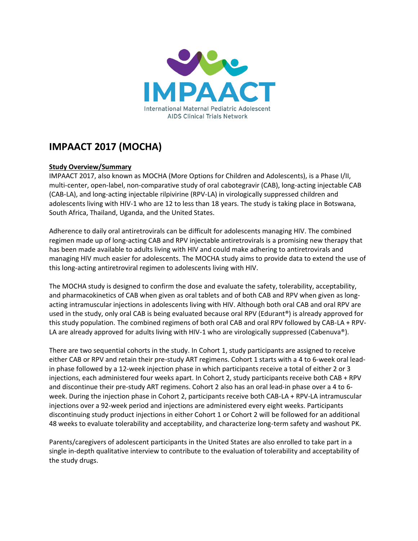

## **IMPAACT 2017 (MOCHA)**

## **Study Overview/Summary**

IMPAACT 2017, also known as MOCHA (More Options for Children and Adolescents), is a Phase I/II, multi-center, open-label, non-comparative study of oral cabotegravir (CAB), long-acting injectable CAB (CAB-LA), and long-acting injectable rilpivirine (RPV-LA) in virologically suppressed children and adolescents living with HIV-1 who are 12 to less than 18 years. The study is taking place in Botswana, South Africa, Thailand, Uganda, and the United States.

Adherence to daily oral antiretrovirals can be difficult for adolescents managing HIV. The combined regimen made up of long-acting CAB and RPV injectable antiretrovirals is a promising new therapy that has been made available to adults living with HIV and could make adhering to antiretrovirals and managing HIV much easier for adolescents. The MOCHA study aims to provide data to extend the use of this long-acting antiretroviral regimen to adolescents living with HIV.

The MOCHA study is designed to confirm the dose and evaluate the safety, tolerability, acceptability, and pharmacokinetics of CAB when given as oral tablets and of both CAB and RPV when given as longacting intramuscular injections in adolescents living with HIV. Although both oral CAB and oral RPV are used in the study, only oral CAB is being evaluated because oral RPV (Edurant®) is already approved for this study population. The combined regimens of both oral CAB and oral RPV followed by CAB-LA + RPV-LA are already approved for adults living with HIV-1 who are virologically suppressed (Cabenuva®).

There are two sequential cohorts in the study. In Cohort 1, study participants are assigned to receive either CAB or RPV and retain their pre-study ART regimens. Cohort 1 starts with a 4 to 6-week oral leadin phase followed by a 12-week injection phase in which participants receive a total of either 2 or 3 injections, each administered four weeks apart. In Cohort 2, study participants receive both CAB + RPV and discontinue their pre-study ART regimens. Cohort 2 also has an oral lead-in phase over a 4 to 6 week. During the injection phase in Cohort 2, participants receive both CAB-LA + RPV-LA intramuscular injections over a 92-week period and injections are administered every eight weeks. Participants discontinuing study product injections in either Cohort 1 or Cohort 2 will be followed for an additional 48 weeks to evaluate tolerability and acceptability, and characterize long-term safety and washout PK.

Parents/caregivers of adolescent participants in the United States are also enrolled to take part in a single in-depth qualitative interview to contribute to the evaluation of tolerability and acceptability of the study drugs.